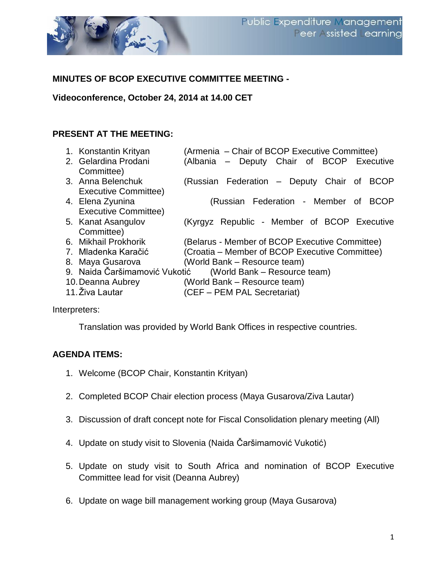

### **MINUTES OF BCOP EXECUTIVE COMMITTEE MEETING -**

**Videoconference, October 24, 2014 at 14.00 CET**

#### **PRESENT AT THE MEETING:**

|                             | (Armenia - Chair of BCOP Executive Committee)                                                                                                                                                                                                                                        |
|-----------------------------|--------------------------------------------------------------------------------------------------------------------------------------------------------------------------------------------------------------------------------------------------------------------------------------|
|                             | (Albania - Deputy Chair of BCOP Executive                                                                                                                                                                                                                                            |
|                             |                                                                                                                                                                                                                                                                                      |
|                             | (Russian Federation – Deputy Chair of<br><b>BCOP</b>                                                                                                                                                                                                                                 |
| <b>Executive Committee)</b> |                                                                                                                                                                                                                                                                                      |
|                             | (Russian Federation - Member of<br><b>BCOP</b>                                                                                                                                                                                                                                       |
| <b>Executive Committee)</b> |                                                                                                                                                                                                                                                                                      |
|                             | (Kyrgyz Republic - Member of BCOP Executive                                                                                                                                                                                                                                          |
|                             |                                                                                                                                                                                                                                                                                      |
|                             | (Belarus - Member of BCOP Executive Committee)                                                                                                                                                                                                                                       |
|                             | (Croatia - Member of BCOP Executive Committee)                                                                                                                                                                                                                                       |
|                             | (World Bank – Resource team)                                                                                                                                                                                                                                                         |
|                             | (World Bank – Resource team)                                                                                                                                                                                                                                                         |
|                             | (World Bank – Resource team)                                                                                                                                                                                                                                                         |
|                             | (CEF – PEM PAL Secretariat)                                                                                                                                                                                                                                                          |
|                             | 1. Konstantin Krityan<br>2. Gelardina Prodani<br>Committee)<br>3. Anna Belenchuk<br>4. Elena Zyunina<br>5. Kanat Asangulov<br>Committee)<br>6. Mikhail Prokhorik<br>7. Mladenka Karačić<br>8. Maya Gusarova<br>9. Naida Čaršimamović Vukotić<br>10. Deanna Aubrey<br>11. Živa Lautar |

Interpreters:

Translation was provided by World Bank Offices in respective countries.

#### **AGENDA ITEMS:**

- 1. Welcome (BCOP Chair, Konstantin Krityan)
- 2. Completed BCOP Chair election process (Maya Gusarova/Ziva Lautar)
- 3. Discussion of draft concept note for Fiscal Consolidation plenary meeting (All)
- 4. Update on study visit to Slovenia (Naida Čaršimamović Vukotić)
- 5. Update on study visit to South Africa and nomination of BCOP Executive Committee lead for visit (Deanna Aubrey)
- 6. Update on wage bill management working group (Maya Gusarova)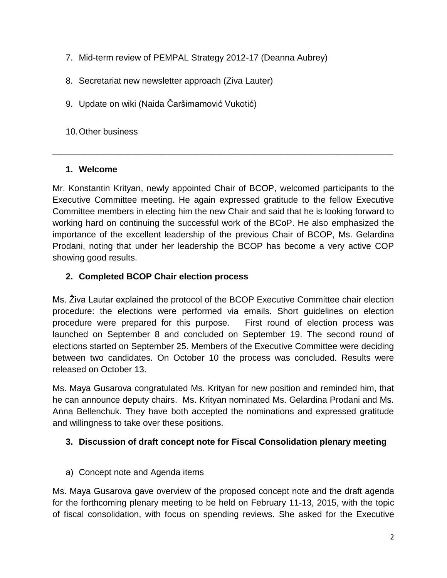- 7. Mid-term review of PEMPAL Strategy 2012-17 (Deanna Aubrey)
- 8. Secretariat new newsletter approach (Ziva Lauter)
- 9. Update on wiki (Naida Čaršimamović Vukotić)

10.Other business

#### **1. Welcome**

Mr. Konstantin Krityan, newly appointed Chair of BCOP, welcomed participants to the Executive Committee meeting. He again expressed gratitude to the fellow Executive Committee members in electing him the new Chair and said that he is looking forward to working hard on continuing the successful work of the BCoP. He also emphasized the importance of the excellent leadership of the previous Chair of BCOP, Ms. Gelardina Prodani, noting that under her leadership the BCOP has become a very active COP showing good results.

\_\_\_\_\_\_\_\_\_\_\_\_\_\_\_\_\_\_\_\_\_\_\_\_\_\_\_\_\_\_\_\_\_\_\_\_\_\_\_\_\_\_\_\_\_\_\_\_\_\_\_\_\_\_\_\_\_\_\_\_\_\_\_\_\_\_\_\_\_\_

## **2. Completed BCOP Chair election process**

Ms. Živa Lautar explained the protocol of the BCOP Executive Committee chair election procedure: the elections were performed via emails. Short guidelines on election procedure were prepared for this purpose. First round of election process was launched on September 8 and concluded on September 19. The second round of elections started on September 25. Members of the Executive Committee were deciding between two candidates. On October 10 the process was concluded. Results were released on October 13.

Ms. Maya Gusarova congratulated Ms. Krityan for new position and reminded him, that he can announce deputy chairs. Ms. Krityan nominated Ms. Gelardina Prodani and Ms. Anna Bellenchuk. They have both accepted the nominations and expressed gratitude and willingness to take over these positions.

### **3. Discussion of draft concept note for Fiscal Consolidation plenary meeting**

a) Concept note and Agenda items

Ms. Maya Gusarova gave overview of the proposed concept note and the draft agenda for the forthcoming plenary meeting to be held on February 11-13, 2015, with the topic of fiscal consolidation, with focus on spending reviews. She asked for the Executive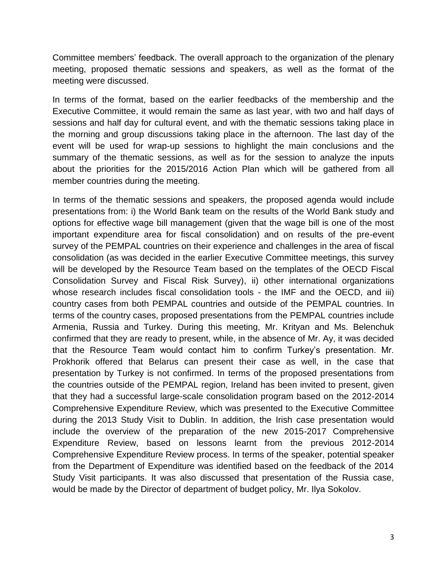Committee members' feedback. The overall approach to the organization of the plenary meeting, proposed thematic sessions and speakers, as well as the format of the meeting were discussed.

In terms of the format, based on the earlier feedbacks of the membership and the Executive Committee, it would remain the same as last year, with two and half days of sessions and half day for cultural event, and with the thematic sessions taking place in the morning and group discussions taking place in the afternoon. The last day of the event will be used for wrap-up sessions to highlight the main conclusions and the summary of the thematic sessions, as well as for the session to analyze the inputs about the priorities for the 2015/2016 Action Plan which will be gathered from all member countries during the meeting.

In terms of the thematic sessions and speakers, the proposed agenda would include presentations from: i) the World Bank team on the results of the World Bank study and options for effective wage bill management (given that the wage bill is one of the most important expenditure area for fiscal consolidation) and on results of the pre-event survey of the PEMPAL countries on their experience and challenges in the area of fiscal consolidation (as was decided in the earlier Executive Committee meetings, this survey will be developed by the Resource Team based on the templates of the OECD Fiscal Consolidation Survey and Fiscal Risk Survey), ii) other international organizations whose research includes fiscal consolidation tools - the IMF and the OECD, and iii) country cases from both PEMPAL countries and outside of the PEMPAL countries. In terms of the country cases, proposed presentations from the PEMPAL countries include Armenia, Russia and Turkey. During this meeting, Mr. Krityan and Ms. Belenchuk confirmed that they are ready to present, while, in the absence of Mr. Ay, it was decided that the Resource Team would contact him to confirm Turkey's presentation. Mr. Prokhorik offered that Belarus can present their case as well, in the case that presentation by Turkey is not confirmed. In terms of the proposed presentations from the countries outside of the PEMPAL region, Ireland has been invited to present, given that they had a successful large-scale consolidation program based on the 2012-2014 Comprehensive Expenditure Review, which was presented to the Executive Committee during the 2013 Study Visit to Dublin. In addition, the Irish case presentation would include the overview of the preparation of the new 2015-2017 Comprehensive Expenditure Review, based on lessons learnt from the previous 2012-2014 Comprehensive Expenditure Review process. In terms of the speaker, potential speaker from the Department of Expenditure was identified based on the feedback of the 2014 Study Visit participants. It was also discussed that presentation of the Russia case, would be made by the Director of department of budget policy, Mr. Ilya Sokolov.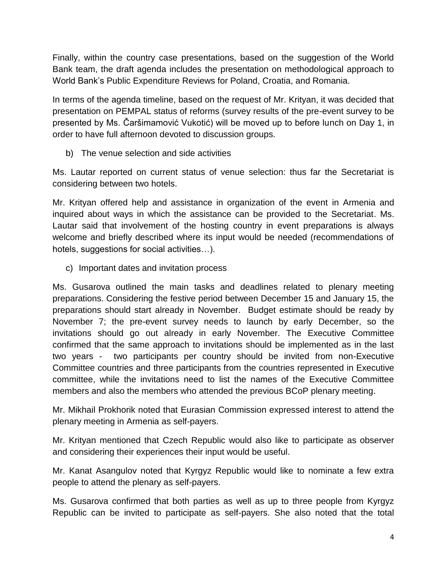Finally, within the country case presentations, based on the suggestion of the World Bank team, the draft agenda includes the presentation on methodological approach to World Bank's Public Expenditure Reviews for Poland, Croatia, and Romania.

In terms of the agenda timeline, based on the request of Mr. Krityan, it was decided that presentation on PEMPAL status of reforms (survey results of the pre-event survey to be presented by Ms. Čaršimamović Vukotić) will be moved up to before lunch on Day 1, in order to have full afternoon devoted to discussion groups.

b) The venue selection and side activities

Ms. Lautar reported on current status of venue selection: thus far the Secretariat is considering between two hotels.

Mr. Krityan offered help and assistance in organization of the event in Armenia and inquired about ways in which the assistance can be provided to the Secretariat. Ms. Lautar said that involvement of the hosting country in event preparations is always welcome and briefly described where its input would be needed (recommendations of hotels, suggestions for social activities…).

c) Important dates and invitation process

Ms. Gusarova outlined the main tasks and deadlines related to plenary meeting preparations. Considering the festive period between December 15 and January 15, the preparations should start already in November. Budget estimate should be ready by November 7; the pre-event survey needs to launch by early December, so the invitations should go out already in early November. The Executive Committee confirmed that the same approach to invitations should be implemented as in the last two years - two participants per country should be invited from non-Executive Committee countries and three participants from the countries represented in Executive committee, while the invitations need to list the names of the Executive Committee members and also the members who attended the previous BCoP plenary meeting.

Mr. Mikhail Prokhorik noted that Eurasian Commission expressed interest to attend the plenary meeting in Armenia as self-payers.

Mr. Krityan mentioned that Czech Republic would also like to participate as observer and considering their experiences their input would be useful.

Mr. Kanat Asangulov noted that Kyrgyz Republic would like to nominate a few extra people to attend the plenary as self-payers.

Ms. Gusarova confirmed that both parties as well as up to three people from Kyrgyz Republic can be invited to participate as self-payers. She also noted that the total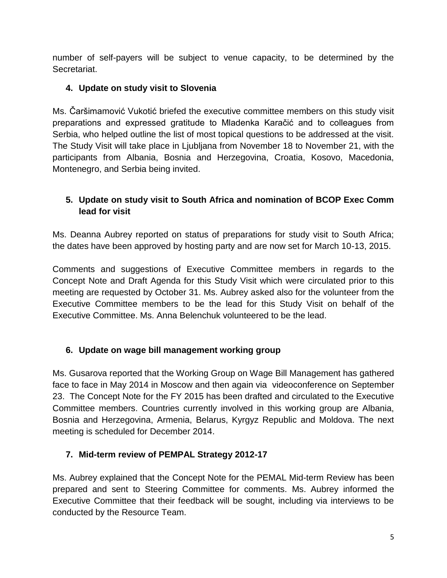number of self-payers will be subject to venue capacity, to be determined by the Secretariat.

# **4. Update on study visit to Slovenia**

Ms. Čaršimamović Vukotić briefed the executive committee members on this study visit preparations and expressed gratitude to Mladenka Karačić and to colleagues from Serbia, who helped outline the list of most topical questions to be addressed at the visit. The Study Visit will take place in Ljubljana from November 18 to November 21, with the participants from Albania, Bosnia and Herzegovina, Croatia, Kosovo, Macedonia, Montenegro, and Serbia being invited.

# **5. Update on study visit to South Africa and nomination of BCOP Exec Comm lead for visit**

Ms. Deanna Aubrey reported on status of preparations for study visit to South Africa; the dates have been approved by hosting party and are now set for March 10-13, 2015.

Comments and suggestions of Executive Committee members in regards to the Concept Note and Draft Agenda for this Study Visit which were circulated prior to this meeting are requested by October 31. Ms. Aubrey asked also for the volunteer from the Executive Committee members to be the lead for this Study Visit on behalf of the Executive Committee. Ms. Anna Belenchuk volunteered to be the lead.

## **6. Update on wage bill management working group**

Ms. Gusarova reported that the Working Group on Wage Bill Management has gathered face to face in May 2014 in Moscow and then again via videoconference on September 23. The Concept Note for the FY 2015 has been drafted and circulated to the Executive Committee members. Countries currently involved in this working group are Albania, Bosnia and Herzegovina, Armenia, Belarus, Kyrgyz Republic and Moldova. The next meeting is scheduled for December 2014.

# **7. Mid-term review of PEMPAL Strategy 2012-17**

Ms. Aubrey explained that the Concept Note for the PEMAL Mid-term Review has been prepared and sent to Steering Committee for comments. Ms. Aubrey informed the Executive Committee that their feedback will be sought, including via interviews to be conducted by the Resource Team.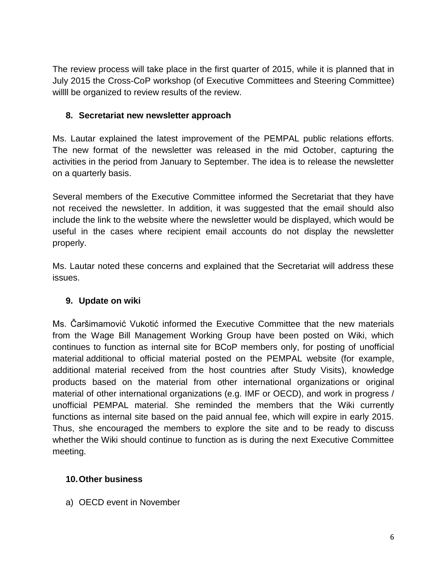The review process will take place in the first quarter of 2015, while it is planned that in July 2015 the Cross-CoP workshop (of Executive Committees and Steering Committee) willll be organized to review results of the review.

## **8. Secretariat new newsletter approach**

Ms. Lautar explained the latest improvement of the PEMPAL public relations efforts. The new format of the newsletter was released in the mid October, capturing the activities in the period from January to September. The idea is to release the newsletter on a quarterly basis.

Several members of the Executive Committee informed the Secretariat that they have not received the newsletter. In addition, it was suggested that the email should also include the link to the website where the newsletter would be displayed, which would be useful in the cases where recipient email accounts do not display the newsletter properly.

Ms. Lautar noted these concerns and explained that the Secretariat will address these issues.

### **9. Update on wiki**

Ms. Čaršimamović Vukotić informed the Executive Committee that the new materials from the Wage Bill Management Working Group have been posted on Wiki, which continues to function as internal site for BCoP members only, for posting of unofficial material additional to official material posted on the PEMPAL website (for example, additional material received from the host countries after Study Visits), knowledge products based on the material from other international organizations or original material of other international organizations (e.g. IMF or OECD), and work in progress / unofficial PEMPAL material. She reminded the members that the Wiki currently functions as internal site based on the paid annual fee, which will expire in early 2015. Thus, she encouraged the members to explore the site and to be ready to discuss whether the Wiki should continue to function as is during the next Executive Committee meeting.

### **10.Other business**

a) OECD event in November